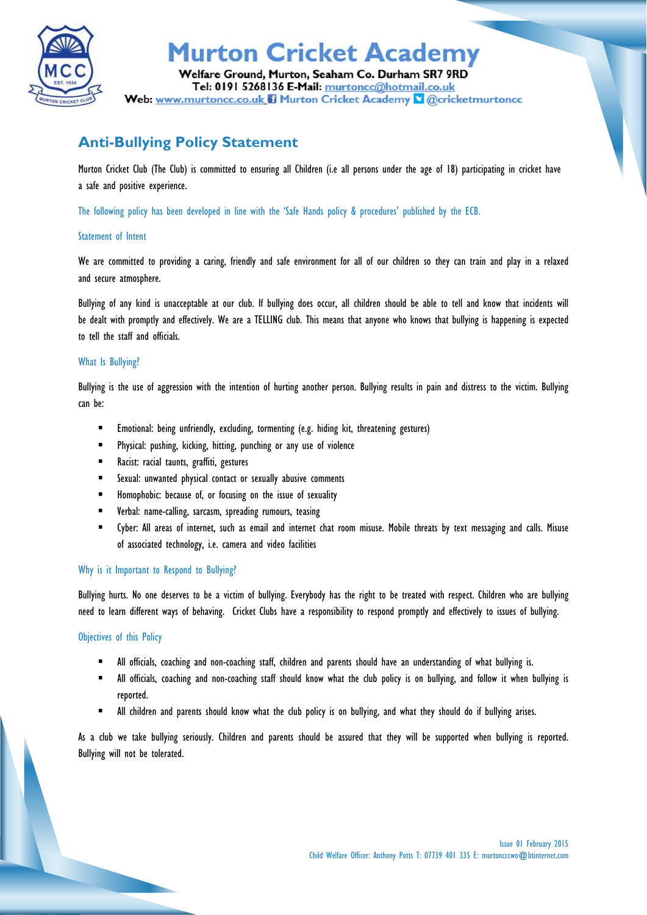

## **Murton Cricket Academy**

Welfare Ground, Murton, Seaham Co. Durham SR7 9RD Tel: 0191 5268136 E-Mail: murtoncc@hotmail.co.uk Web: www.murtoncc.co.uk il Murton Cricket Academy & @cricketmurtoncc

### **Anti-Bullying Policy Statement**

Murton Cricket Club (The Club) is committed to ensuring all Children (i.e all persons under the age of 18) participating in cricket have a safe and positive experience.

The following policy has been developed in line with the 'Safe Hands policy & procedures' published by the ECB.

#### Statement of Intent

We are committed to providing a caring, friendly and safe environment for all of our children so they can train and play in a relaxed and secure atmosphere.

Bullying of any kind is unacceptable at our club. If bullying does occur, all children should be able to tell and know that incidents will be dealt with promptly and effectively. We are a TELLING club. This means that anyone who knows that bullying is happening is expected to tell the staff and officials.

#### What Is Bullying?

Bullying is the use of aggression with the intention of hurting another person. Bullying results in pain and distress to the victim. Bullying can be:

- Emotional: being unfriendly, excluding, tormenting (e.g. hiding kit, threatening gestures)
- Physical: pushing, kicking, hitting, punching or any use of violence
- **Racist:** racial taunts, graffiti, gestures
- Sexual: unwanted physical contact or sexually abusive comments
- **Homophobic:** because of, or focusing on the issue of sexuality
- Verbal: name-calling, sarcasm, spreading rumours, teasing
- Cyber: All areas of internet, such as email and internet chat room misuse. Mobile threats by text messaging and calls. Misuse of associated technology, i.e. camera and video facilities

#### Why is it Important to Respond to Bullying?

Bullying hurts. No one deserves to be a victim of bullying. Everybody has the right to be treated with respect. Children who are bullying need to learn different ways of behaving. Cricket Clubs have a responsibility to respond promptly and effectively to issues of bullying.

#### Objectives of this Policy

- All officials, coaching and non-coaching staff, children and parents should have an understanding of what bullying is.
- "All officials, coaching and non-coaching staff should know what the club policy is on bullying, and follow it when bullying is reported.
- All children and parents should know what the club policy is on bullying, and what they should do if bullying arises.

As a club we take bullying seriously. Children and parents should be assured that they will be supported when bullying is reported. Bullying will not be tolerated.